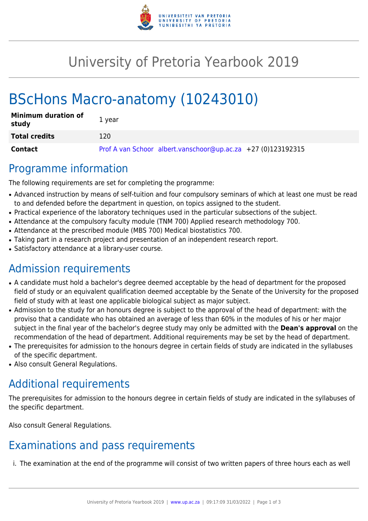

# University of Pretoria Yearbook 2019

# BScHons Macro-anatomy (10243010)

| <b>Minimum duration of</b><br>study | 1 year                                                       |
|-------------------------------------|--------------------------------------------------------------|
| <b>Total credits</b>                | 120                                                          |
| Contact                             | Prof A van Schoor albert.vanschoor@up.ac.za +27 (0)123192315 |

## Programme information

The following requirements are set for completing the programme:

- Advanced instruction by means of self-tuition and four compulsory seminars of which at least one must be read to and defended before the department in question, on topics assigned to the student.
- Practical experience of the laboratory techniques used in the particular subsections of the subject.
- Attendance at the compulsory faculty module (TNM 700) Applied research methodology 700.
- Attendance at the prescribed module (MBS 700) Medical biostatistics 700.
- Taking part in a research project and presentation of an independent research report.
- Satisfactory attendance at a library-user course.

# Admission requirements

- A candidate must hold a bachelor's degree deemed acceptable by the head of department for the proposed field of study or an equivalent qualification deemed acceptable by the Senate of the University for the proposed field of study with at least one applicable biological subject as major subject.
- Admission to the study for an honours degree is subject to the approval of the head of department: with the proviso that a candidate who has obtained an average of less than 60% in the modules of his or her major subject in the final year of the bachelor's degree study may only be admitted with the **Dean's approval** on the recommendation of the head of department. Additional requirements may be set by the head of department.
- The prerequisites for admission to the honours degree in certain fields of study are indicated in the syllabuses of the specific department.
- Also consult General Regulations.

# Additional requirements

The prerequisites for admission to the honours degree in certain fields of study are indicated in the syllabuses of the specific department.

Also consult General Regulations.

# Examinations and pass requirements

i. The examination at the end of the programme will consist of two written papers of three hours each as well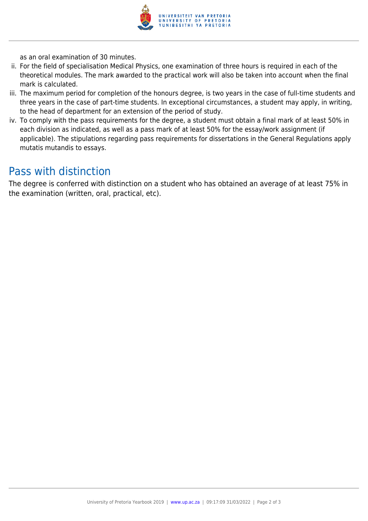

as an oral examination of 30 minutes.

- ii. For the field of specialisation Medical Physics, one examination of three hours is required in each of the theoretical modules. The mark awarded to the practical work will also be taken into account when the final mark is calculated.
- iii. The maximum period for completion of the honours degree, is two years in the case of full-time students and three years in the case of part-time students. In exceptional circumstances, a student may apply, in writing, to the head of department for an extension of the period of study.
- iv. To comply with the pass requirements for the degree, a student must obtain a final mark of at least 50% in each division as indicated, as well as a pass mark of at least 50% for the essay/work assignment (if applicable). The stipulations regarding pass requirements for dissertations in the General Regulations apply mutatis mutandis to essays.

## Pass with distinction

The degree is conferred with distinction on a student who has obtained an average of at least 75% in the examination (written, oral, practical, etc).